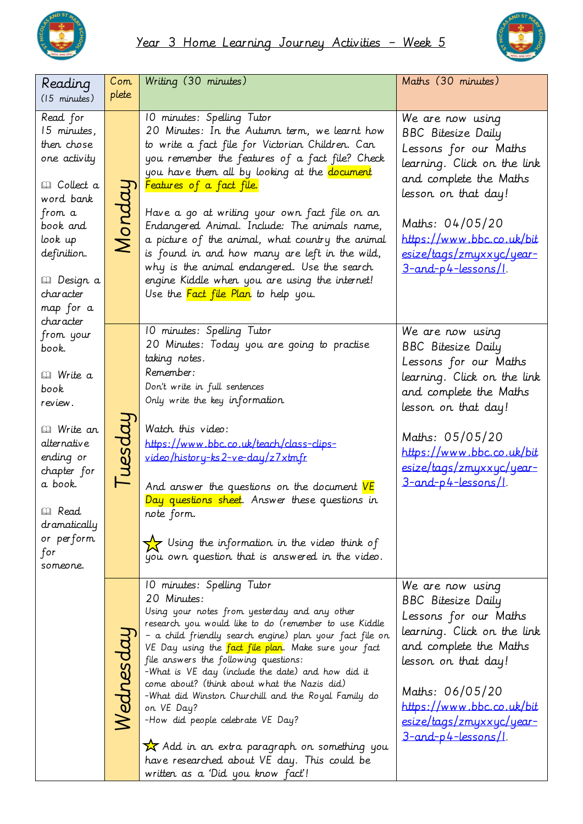



| Reading                                                                                                                                                                                                | Com       | Writing (30 minutes)                                                                                                                                                                                                                                                                                                                                                                                                                                                                                                                                                                                                                                                          | Maths (30 minutes)                                                                                                                                                                                                                                                   |
|--------------------------------------------------------------------------------------------------------------------------------------------------------------------------------------------------------|-----------|-------------------------------------------------------------------------------------------------------------------------------------------------------------------------------------------------------------------------------------------------------------------------------------------------------------------------------------------------------------------------------------------------------------------------------------------------------------------------------------------------------------------------------------------------------------------------------------------------------------------------------------------------------------------------------|----------------------------------------------------------------------------------------------------------------------------------------------------------------------------------------------------------------------------------------------------------------------|
| $(15$ minutes)                                                                                                                                                                                         | plete     |                                                                                                                                                                                                                                                                                                                                                                                                                                                                                                                                                                                                                                                                               |                                                                                                                                                                                                                                                                      |
| Read for<br>15 minutes,<br>then chose<br>one activity<br>la Collect a<br>word bank<br>from a<br>book and<br>look up<br>definition.<br><b>Ill</b> Design a<br>character<br>map for a<br>character       | Monday    | 10 minutes: Spelling Tutor<br>20 Minutes: In the Autumn term, we learnt how<br>to write a fact file for Victorian Children. Can<br>you remember the features of a fact file? Check<br>you have them all by looking at the document<br>Features of a fact file.                                                                                                                                                                                                                                                                                                                                                                                                                | We are now using<br><b>BBC</b> Bitesize Daily<br>Lessons for our Maths<br>learning. Click on the link<br>and complete the Maths<br>lesson on that day!                                                                                                               |
|                                                                                                                                                                                                        |           | Have a go at writing your own fact file on an<br>Endangered Animal. Include: The animals name,<br>a picture of the animal, what country the animal<br>is found in and how many are left in the wild,<br>why is the animal endangered. Use the search<br>engine Kiddle when you are using the internet!<br>Use the <b>Fact file Plan</b> to help you.                                                                                                                                                                                                                                                                                                                          | Maths: $04/05/20$<br>https://www.bbc.co.uk/bit<br>esize/tags/zmyxxyc/year-<br>3-and-p4-lessons/1.                                                                                                                                                                    |
| from your<br>book.<br><b>Q</b> Write a<br>book<br>review.<br><b>Q</b> Write an<br>alternative<br>ending or<br>chapter for<br>a book.<br><b>Q</b> Read<br>dramatically<br>or perform<br>for<br>someone. | Tuesda    | 10 minutes: Spelling Tutor<br>20 Minutes: Today you are going to practise<br>taking notes.<br>Remember:<br>Don't write in full sentences<br>Only write the key information<br>Watch this video:<br>https://www.bbc.co.uk/teach/class-clips-<br>video/history-ks2-ve-day/z7xtm.fr<br>And answer the questions on the document VE<br>Day questions sheet. Answer these questions in<br>note form.<br>$\sum$ Using the information in the video think of<br>you own question that is answered in the video.                                                                                                                                                                      | We are now using<br><b>BBC</b> Bitesize Daily<br>Lessons for our Maths<br>learning. Click on the link<br>and complete the Maths<br>lesson on that day!<br>Maths: 05/05/20<br>https://www.bbc.co.uk/bit<br>esize/tags/zmyxxyc/year-<br>$3$ -and-p4-lessons/1          |
|                                                                                                                                                                                                        | Nednesday | 10 minutes: Spelling Tutor<br>20 Minutes:<br>Using your notes from yesterday and any other<br>research you would like to do (remember to use Kiddle<br>- a child friendly search engine) plan your fact file on<br>VE Day using the fact file plan. Make sure your fact<br>file answers the following questions:<br>-What is VE day (include the date) and how did it<br>come about? (think about what the Nazis did)<br>-What did Winston Churchill and the Royal Family do<br>on VE Day?<br>-How did people celebrate VE Day?<br>$\bigtimes$ Add in an extra paragraph on something you<br>have researched about VE day. This could be<br>written as a 'Did you know fact'! | We are now using<br><b>BBC</b> Bitesize Daily<br>Lessons for our Maths<br>learning. Click on the link<br>and complete the Maths<br>lesson on that day!<br>Maths: 06/05/20<br>https://www.bbc.co.uk/bit<br>esize/tags/zmyxxyc/year-<br>$3$ - and - p 4 - lessons / 1. |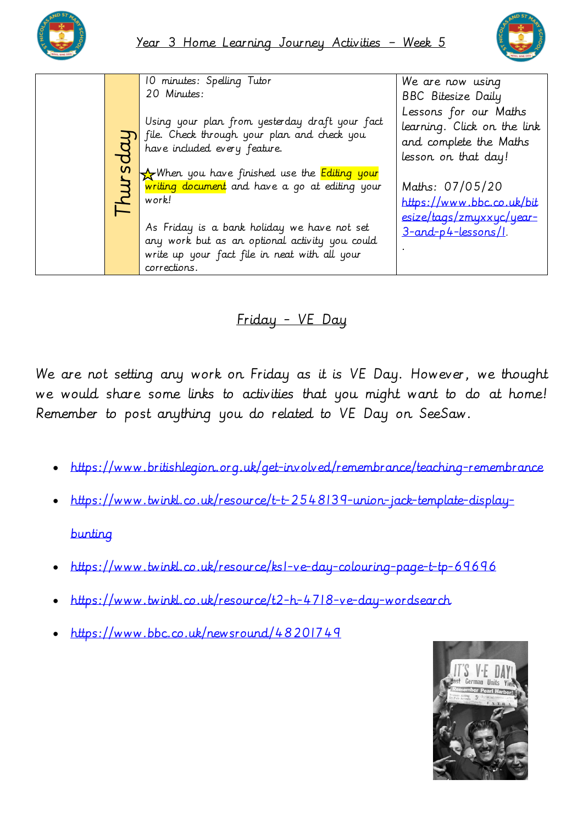



10 minutes: Spelling Tutor 20 Minutes:

Using your plan from yesterday draft your fact file. Check through your plan and check you have included every feature.

**X** When you have finished use the Editing your writing document and have a go at editing your work!

As Friday is a bank holiday we have not set any work but as an optional activity you could write up your fact file in neat with all your corrections.

We are now using BBC Bitesize Daily Lessons for our Maths learning. Click on the link and complete the Maths lesson on that day!

Maths: 07/05/20 [https://www.bbc.co.uk/bit](https://www.bbc.co.uk/bitesize/tags/zmyxxyc/year-3-and-p4-lessons/1) [esize/tags/zmyxxyc/year-](https://www.bbc.co.uk/bitesize/tags/zmyxxyc/year-3-and-p4-lessons/1)[3-and-p4-lessons/1](https://www.bbc.co.uk/bitesize/tags/zmyxxyc/year-3-and-p4-lessons/1).

.

## Friday - VE Day

We are not setting any work on Friday as it is VE Day. However, we thought we would share some links to activities that you might want to do at home! Remember to post anything you do related to VE Day on SeeSaw. Alle Check through your plan and check<br>have included every feature.<br>
Alle propuls have finished use the Edith<br>
work!<br>
As Friday is a bank holiday we have a go at edit<br>
work but as an optional activity your feat is an anglo

- <https://www.britishlegion.org.uk/get-involved/remembrance/teaching-remembrance>
- [https://www.twinkl.co.uk/resource/t-t-2548139-union-jack-template-display](https://www.twinkl.co.uk/resource/t-t-2548139-union-jack-template-display-bunting)[bunting](https://www.twinkl.co.uk/resource/t-t-2548139-union-jack-template-display-bunting)
- <https://www.twinkl.co.uk/resource/ks1-ve-day-colouring-page-t-tp-69696>
- <https://www.twinkl.co.uk/resource/t2-h-4718-ve-day-wordsearch>
-